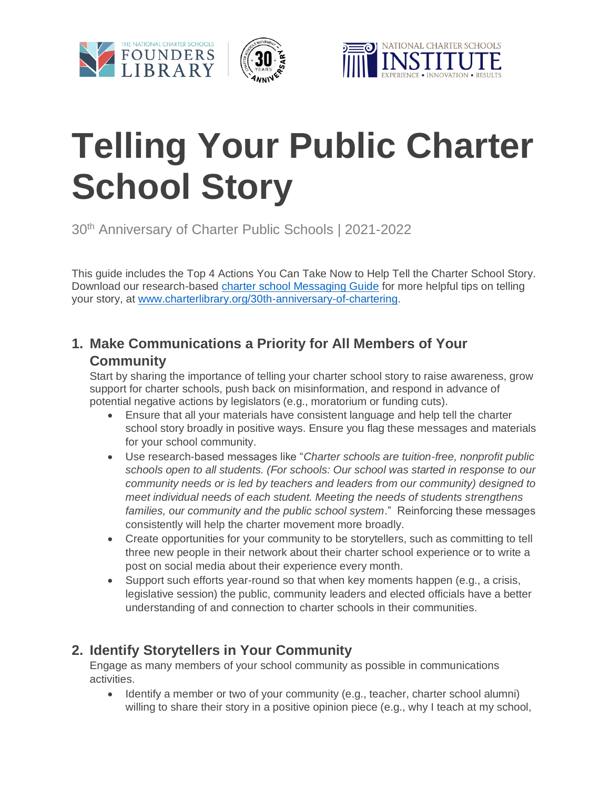





# **Telling Your Public Charter School Story**

30th Anniversary of Charter Public Schools | 2021-2022

This guide includes the Top 4 Actions You Can Take Now to Help Tell the Charter School Story. Download our research-based [charter school Messaging Guide](https://charterlibrary.org/wp-content/uploads/2021/09/30th-Anniversary_Messaging-Guide.zip) for more helpful tips on telling your story, at [www.charterlibrary.org/30th-anniversary-of-chartering.](http://www.charterlibrary.org/30th-anniversary-of-chartering)

# **1. Make Communications a Priority for All Members of Your Community**

Start by sharing the importance of telling your charter school story to raise awareness, grow support for charter schools, push back on misinformation, and respond in advance of potential negative actions by legislators (e.g., moratorium or funding cuts).

- Ensure that all your materials have consistent language and help tell the charter school story broadly in positive ways. Ensure you flag these messages and materials for your school community.
- Use research-based messages like "*Charter schools are tuition-free, nonprofit public schools open to all students. (For schools: Our school was started in response to our community needs or is led by teachers and leaders from our community) designed to meet individual needs of each student. Meeting the needs of students strengthens families, our community and the public school system*." Reinforcing these messages consistently will help the charter movement more broadly.
- Create opportunities for your community to be storytellers, such as committing to tell three new people in their network about their charter school experience or to write a post on social media about their experience every month.
- Support such efforts year-round so that when key moments happen (e.g., a crisis, legislative session) the public, community leaders and elected officials have a better understanding of and connection to charter schools in their communities.

# **2. Identify Storytellers in Your Community**

Engage as many members of your school community as possible in communications activities.

• Identify a member or two of your community (e.g., teacher, charter school alumni) willing to share their story in a positive opinion piece (e.g., why I teach at my school,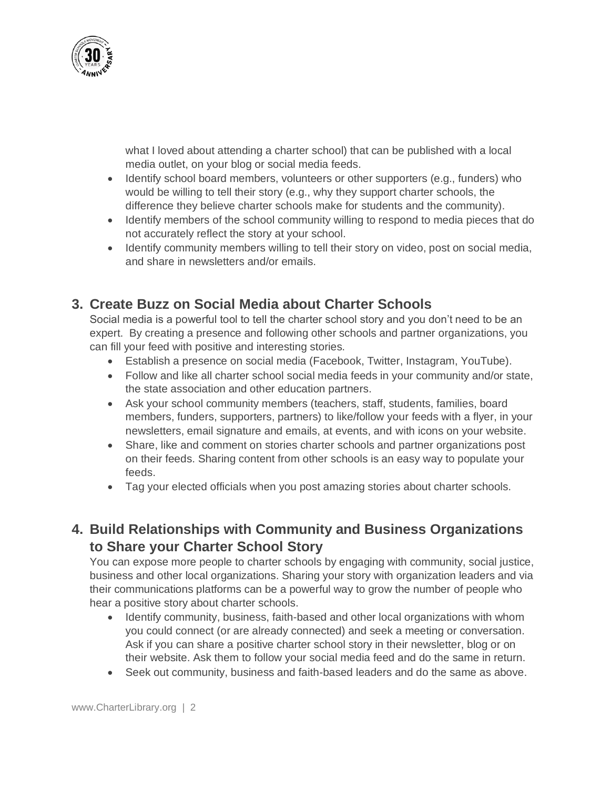

what I loved about attending a charter school) that can be published with a local media outlet, on your blog or social media feeds.

- Identify school board members, volunteers or other supporters (e.g., funders) who would be willing to tell their story (e.g., why they support charter schools, the difference they believe charter schools make for students and the community).
- Identify members of the school community willing to respond to media pieces that do not accurately reflect the story at your school.
- Identify community members willing to tell their story on video, post on social media, and share in newsletters and/or emails.

### **3. Create Buzz on Social Media about Charter Schools**

Social media is a powerful tool to tell the charter school story and you don't need to be an expert. By creating a presence and following other schools and partner organizations, you can fill your feed with positive and interesting stories.

- Establish a presence on social media (Facebook, Twitter, Instagram, YouTube).
- Follow and like all charter school social media feeds in your community and/or state, the state association and other education partners.
- Ask your school community members (teachers, staff, students, families, board members, funders, supporters, partners) to like/follow your feeds with a flyer, in your newsletters, email signature and emails, at events, and with icons on your website.
- Share, like and comment on stories charter schools and partner organizations post on their feeds. Sharing content from other schools is an easy way to populate your feeds.
- Tag your elected officials when you post amazing stories about charter schools.

### **4. Build Relationships with Community and Business Organizations to Share your Charter School Story**

You can expose more people to charter schools by engaging with community, social justice, business and other local organizations. Sharing your story with organization leaders and via their communications platforms can be a powerful way to grow the number of people who hear a positive story about charter schools.

- Identify community, business, faith-based and other local organizations with whom you could connect (or are already connected) and seek a meeting or conversation. Ask if you can share a positive charter school story in their newsletter, blog or on their website. Ask them to follow your social media feed and do the same in return.
- Seek out community, business and faith-based leaders and do the same as above.